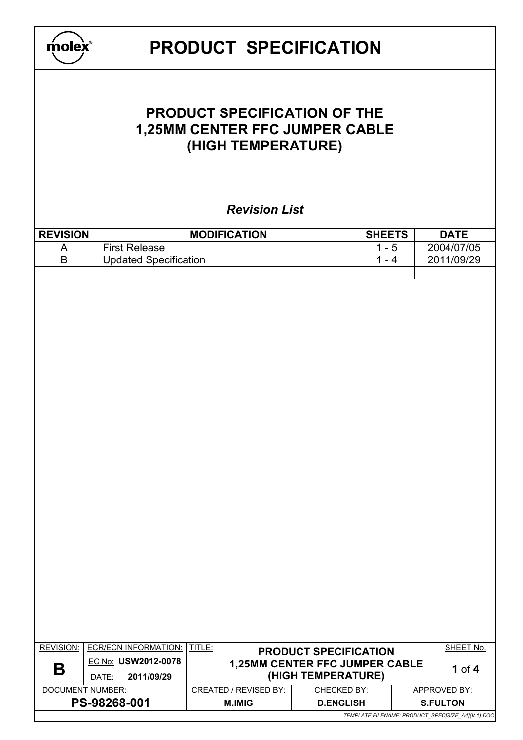| molex                                                                                                               | <b>PRODUCT SPECIFICATION</b>                       |                              |                                                      |                                                   |  |  |  |
|---------------------------------------------------------------------------------------------------------------------|----------------------------------------------------|------------------------------|------------------------------------------------------|---------------------------------------------------|--|--|--|
| <b>PRODUCT SPECIFICATION OF THE</b><br>1,25MM CENTER FFC JUMPER CABLE<br>(HIGH TEMPERATURE)<br><b>Revision List</b> |                                                    |                              |                                                      |                                                   |  |  |  |
| <b>REVISION</b>                                                                                                     |                                                    | <b>MODIFICATION</b>          | <b>SHEETS</b>                                        | <b>DATE</b>                                       |  |  |  |
| A                                                                                                                   | <b>First Release</b>                               |                              | $1 - 5$                                              | 2004/07/05                                        |  |  |  |
| B                                                                                                                   | <b>Updated Specification</b>                       |                              | $1 - 4$                                              | 2011/09/29                                        |  |  |  |
|                                                                                                                     |                                                    |                              |                                                      |                                                   |  |  |  |
| <b>REVISION:</b>                                                                                                    | <b>ECR/ECN INFORMATION:</b><br>EC No: USW2012-0078 | TITLE:                       | <b>PRODUCT SPECIFICATION</b>                         | SHEET No.                                         |  |  |  |
| Β                                                                                                                   | 2011/09/29<br>DATE:                                |                              | 1,25MM CENTER FFC JUMPER CABLE<br>(HIGH TEMPERATURE) | 1 of $4$                                          |  |  |  |
| DOCUMENT NUMBER:                                                                                                    |                                                    | <b>CREATED / REVISED BY:</b> | <b>CHECKED BY:</b>                                   | APPROVED BY:                                      |  |  |  |
|                                                                                                                     | PS-98268-001                                       | <b>M.IMIG</b>                | <b>D.ENGLISH</b>                                     | <b>S.FULTON</b>                                   |  |  |  |
|                                                                                                                     |                                                    |                              |                                                      | TEMPLATE FILENAME: PRODUCT_SPEC[SIZE_A4](V.1).DOC |  |  |  |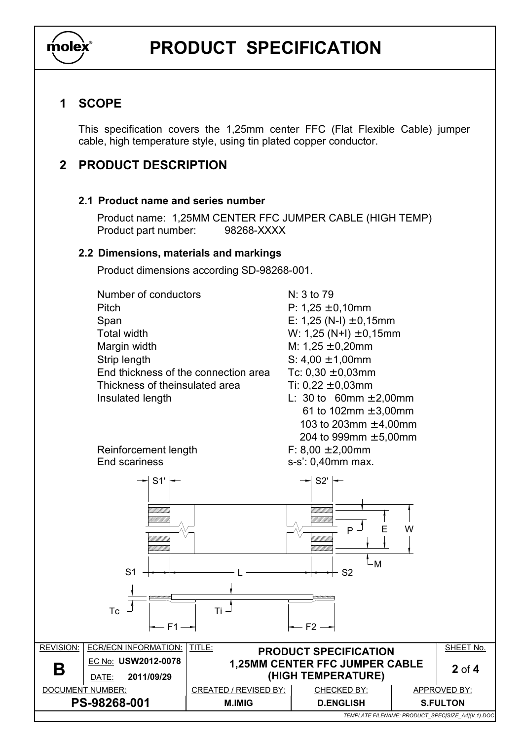

## **PRODUCT SPECIFICATION**

## **1 SCOPE**

This specification covers the 1,25mm center FFC (Flat Flexible Cable) jumper cable, high temperature style, using tin plated copper conductor.

## **2 PRODUCT DESCRIPTION**

#### **2.1 Product name and series number**

Product name: 1,25MM CENTER FFC JUMPER CABLE (HIGH TEMP) Product part number: 98268-XXXX

#### **2.2 Dimensions, materials and markings**

Product dimensions according SD-98268-001.

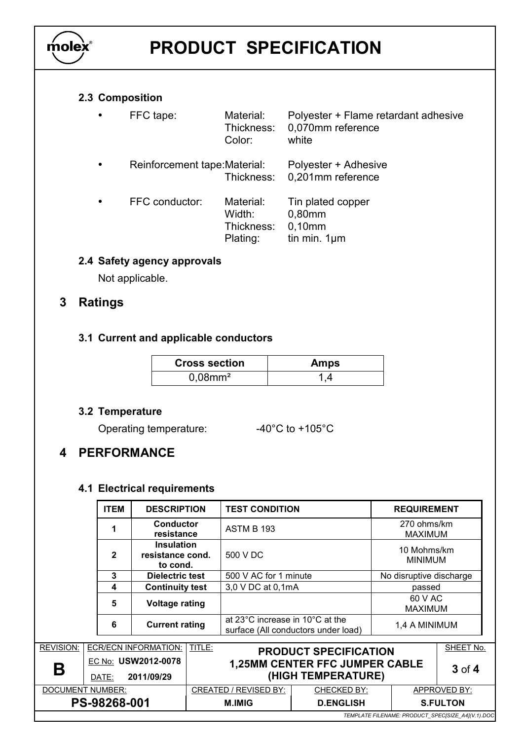

# **PRODUCT SPECIFICATION**

### **2.3 Composition**

| FFC tape:                     | Material:<br>Thickness:<br>Color:             | Polyester + Flame retardant adhesive<br>0.070mm reference<br>white |
|-------------------------------|-----------------------------------------------|--------------------------------------------------------------------|
| Reinforcement tape: Material: | Thickness:                                    | Polyester + Adhesive<br>0,201mm reference                          |
| FFC conductor:                | Material:<br>Width:<br>Thickness:<br>Plating: | Tin plated copper<br>0,80mm<br>$0,10$ mm<br>tin min. $1 \mu m$     |

### **2.4 Safety agency approvals**

Not applicable.

## **3 Ratings**

#### **3.1 Current and applicable conductors**

| <b>Cross section</b>   | <b>Amps</b> |
|------------------------|-------------|
| $0,08$ mm <sup>2</sup> | 1.4         |

#### **3.2 Temperature**

Operating temperature:  $-40^{\circ}$ C to +105°C

## **4 PERFORMANCE**

### **4.1 Electrical requirements**

|                                                   | <b>ITEM</b>                           | <b>DESCRIPTION</b><br><b>Conductor</b><br>1<br>resistance<br><b>Insulation</b><br>$\mathbf{2}$<br>resistance cond.<br>to cond.<br>3<br><b>Dielectric test</b><br>$\boldsymbol{4}$<br><b>Continuity test</b><br>5<br><b>Voltage rating</b><br><b>Current rating</b><br>6 |                              | <b>TEST CONDITION</b>                                                  |                  | <b>REQUIREMENT</b>            |                           |  |
|---------------------------------------------------|---------------------------------------|-------------------------------------------------------------------------------------------------------------------------------------------------------------------------------------------------------------------------------------------------------------------------|------------------------------|------------------------------------------------------------------------|------------------|-------------------------------|---------------------------|--|
|                                                   |                                       |                                                                                                                                                                                                                                                                         |                              | <b>ASTM B 193</b>                                                      |                  | 270 ohms/km<br><b>MAXIMUM</b> |                           |  |
|                                                   |                                       |                                                                                                                                                                                                                                                                         |                              | 500 V DC                                                               |                  | 10 Mohms/km<br><b>MINIMUM</b> |                           |  |
|                                                   |                                       |                                                                                                                                                                                                                                                                         |                              | 500 V AC for 1 minute                                                  |                  |                               | No disruptive discharge   |  |
|                                                   |                                       |                                                                                                                                                                                                                                                                         |                              | 3,0 V DC at 0,1mA                                                      |                  |                               | passed                    |  |
|                                                   |                                       |                                                                                                                                                                                                                                                                         |                              |                                                                        |                  |                               | 60 V AC<br><b>MAXIMUM</b> |  |
|                                                   |                                       |                                                                                                                                                                                                                                                                         |                              | at 23°C increase in 10°C at the<br>surface (All conductors under load) |                  | 1,4 A MINIMUM                 |                           |  |
| <b>REVISION:</b>                                  | TITLE:<br><b>ECR/ECN INFORMATION:</b> |                                                                                                                                                                                                                                                                         | <b>PRODUCT SPECIFICATION</b> |                                                                        |                  | SHEET No.                     |                           |  |
| Β                                                 | DATE:                                 | EC No: USW2012-0078<br>2011/09/29                                                                                                                                                                                                                                       |                              | <b>1,25MM CENTER FFC JUMPER CABLE</b><br>(HIGH TEMPERATURE)            |                  |                               | $3$ of $4$                |  |
| DOCUMENT NUMBER:                                  |                                       |                                                                                                                                                                                                                                                                         | <b>CREATED / REVISED BY:</b> | CHECKED BY:                                                            | APPROVED BY:     |                               |                           |  |
| PS-98268-001                                      |                                       |                                                                                                                                                                                                                                                                         |                              | <b>M.IMIG</b>                                                          | <b>D.ENGLISH</b> |                               | <b>S.FULTON</b>           |  |
| TEMPLATE FILENAME: PRODUCT_SPEC[SIZE_A4](V.1).DOC |                                       |                                                                                                                                                                                                                                                                         |                              |                                                                        |                  |                               |                           |  |